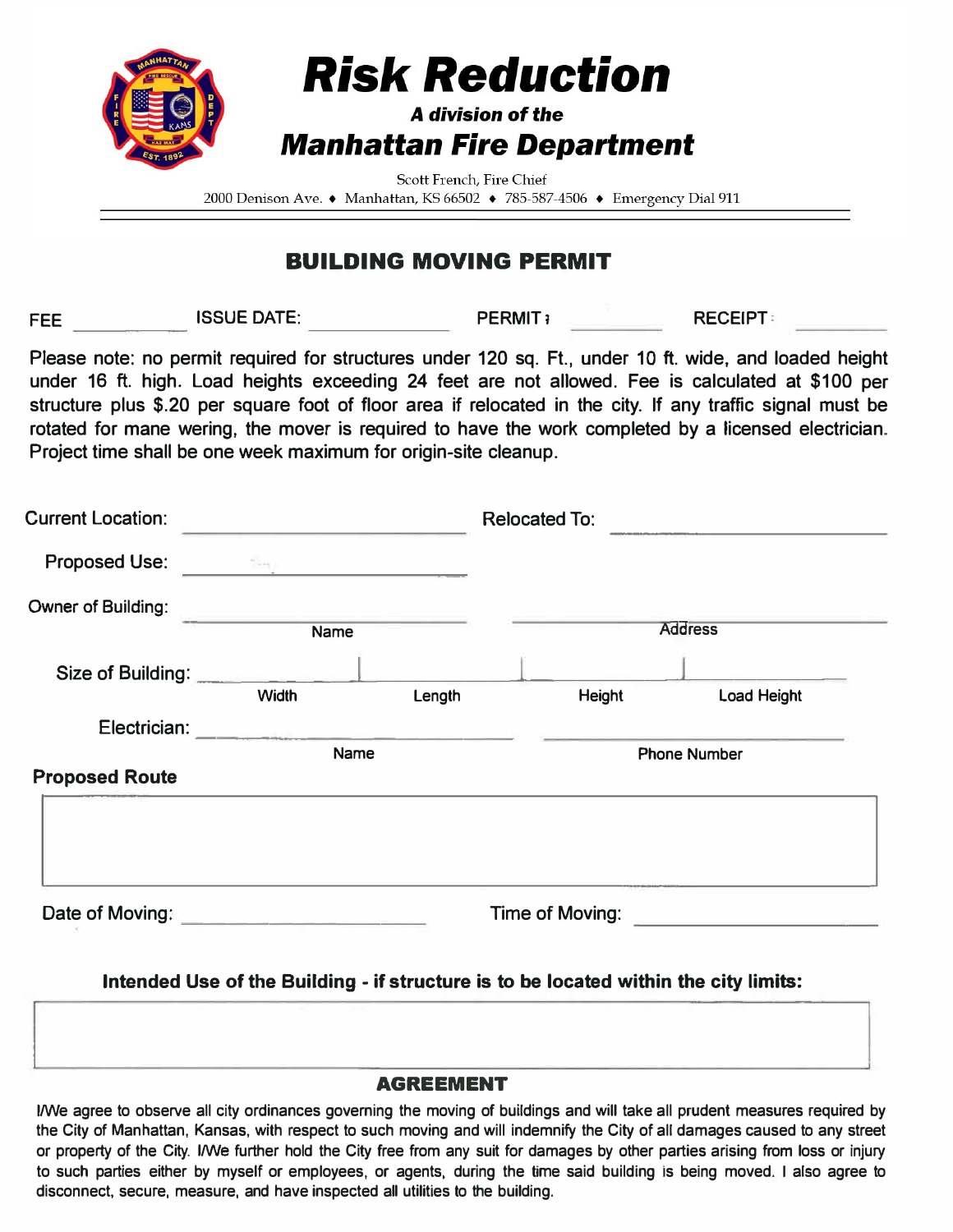

# **Risk Reduction**

## A division of the **Manhattan Fire Department**

Scott French, Fire Chief

2000 Denison Ave. • Manhattan, KS 66502 • 785-587-4506 • Emergency Dial 911

## **BUILDING MOVING PERMIT**

**FEE ISSUE DATE:** PERMIT<sub>i</sub> PERMIT<sub>i</sub> RECEIPT:

**Please note: no permit required for structures under 120 sq. Ft., under 10 ft. wide, and loaded height under 16 ft. high. Load heights exceeding 24 feet are not allowed. Fee is calculated at \$100 per structure plus \$.20 per square foot of floor area if relocated in the city. If any traffic signal must be rotated for mane wering, the mover is required to have the work completed by a licensed electrician. Project time shall be one week maximum for origin-site cleanup.** 

| <b>Current Location:</b> |              |        | <b>Relocated To:</b> |             |  |
|--------------------------|--------------|--------|----------------------|-------------|--|
| <b>Proposed Use:</b>     | Teg.         |        |                      |             |  |
| Owner of Building:       | <b>Name</b>  |        | <b>Address</b>       |             |  |
|                          |              |        |                      |             |  |
| Size of Building:        | <b>Width</b> | Length | Height               | Load Height |  |
| Electrician:             | Name         |        |                      |             |  |
|                          |              |        | <b>Phone Number</b>  |             |  |
| <b>Proposed Route</b>    |              |        |                      |             |  |
|                          |              |        |                      |             |  |
|                          |              |        |                      |             |  |
|                          |              |        |                      |             |  |
| Date of Moving:          |              |        | Time of Moving:      |             |  |

**Intended Use of the Building - if structure is to be located within the city limits:** 

#### **AGREEMENT**

**I/We agree to observe all city ordinances governing the moving of buildings and will take all prudent measures required by the City of Manhattan, Kansas, with respect to such moving and will indemnify the City of all damages caused to any street or property of the City. I/We further hold the City free from any suit for damages by other parties arising from loss or injury to such parties either by myself or employees, or agents, during the time said building is being moved. I also agree to disconnect, secure, measure, and have inspected all utilities to the building.**